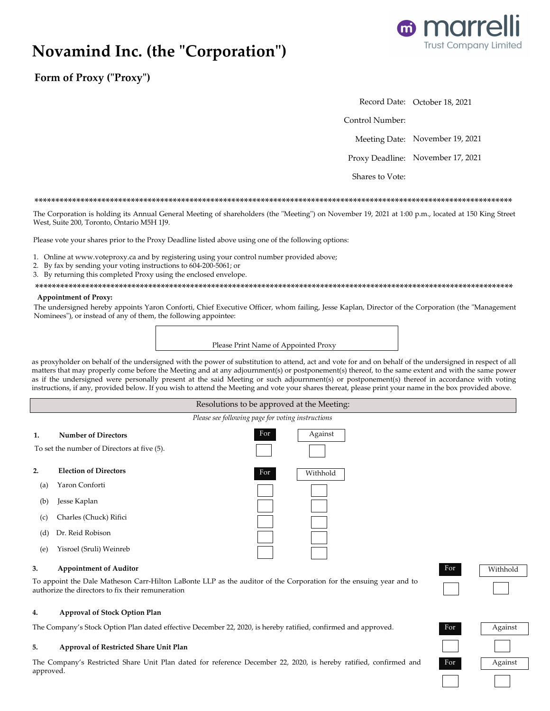# Novamind Inc. (the "Corporation")



Form of Proxy ("Proxy")

Record Date: October 18, 2021

Control Number:

Meeting Date: November 19, 2021

Proxy Deadline: November 17, 2021

Shares to Vote:

### 

The Corporation is holding its Annual General Meeting of shareholders (the "Meeting") on November 19, 2021 at 1:00 p.m., located at 150 King Street West, Suite 200, Toronto, Ontario M5H 1J9.

Please vote your shares prior to the Proxy Deadline listed above using one of the following options:

- 1. Online at www.voteproxy.ca and by registering using your control number provided above;
- 2. By fax by sending your voting instructions to 604-200-5061; or
- 3. By returning this completed Proxy using the enclosed envelope.

### **Appointment of Proxy:**

The undersigned hereby appoints Yaron Conforti, Chief Executive Officer, whom failing, Jesse Kaplan, Director of the Corporation (the "Management Nominees"), or instead of any of them, the following appointee:

| Please Print Name of Appointed Proxy |  |  |
|--------------------------------------|--|--|

as proxyholder on behalf of the undersigned with the power of substitution to attend, act and vote for and on behalf of the undersigned in respect of all matters that may properly come before the Meeting and at any adjournment(s) or postponement(s) thereof, to the same extent and with the same power as if the undersigned were personally present at the said Meeting or such adjournment(s) or postponement(s) thereof in accordance with voting instructions, if any, provided below. If you wish to attend the Meeting and vote your shares thereat, please print your name in the box provided above.

### Resolutions to be approved at the Meeting: Please see following page for voting instructions For Against  $\mathbf{1}$ . **Number of Directors** To set the number of Directors at five (5).  $2.$ **Election of Directors** Withhold For  $(a)$ Yaron Conforti  $(b)$ Jesse Kaplan Charles (Chuck) Rifici  $(c)$ Dr. Reid Robison  $(d)$ Yisroel (Sruli) Weinreb  $(e)$

#### 3. **Appointment of Auditor**

To appoint the Dale Matheson Carr-Hilton LaBonte LLP as the auditor of the Corporation for the ensuing year and to authorize the directors to fix their remuneration

#### $4.$ Approval of Stock Option Plan

The Company's Stock Option Plan dated effective December 22, 2020, is hereby ratified, confirmed and approved.

#### 5. Approval of Restricted Share Unit Plan

The Company's Restricted Share Unit Plan dated for reference December 22, 2020, is hereby ratified, confirmed and approved.